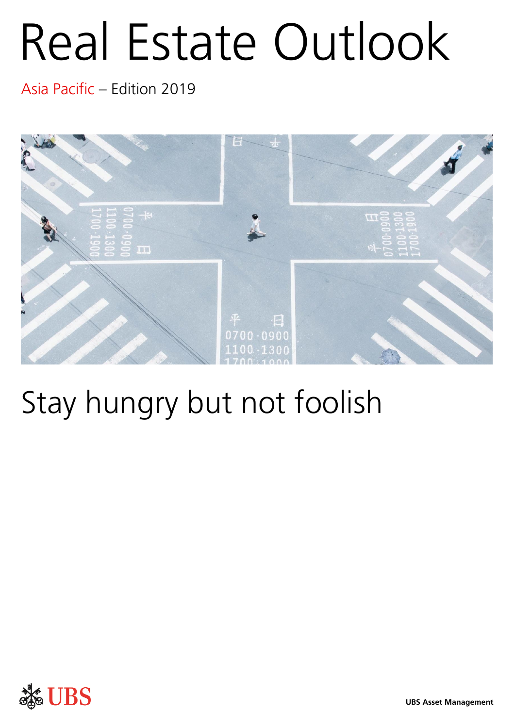# Real Estate Outlook

Asia Pacific – Edition 2019



# Stay hungry but not foolish

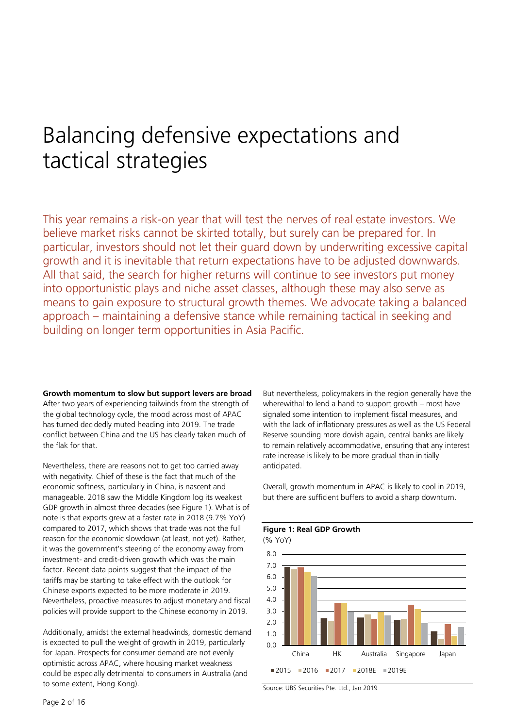# Balancing defensive expectations and tactical strategies

This year remains a risk-on year that will test the nerves of real estate investors. We believe market risks cannot be skirted totally, but surely can be prepared for. In particular, investors should not let their guard down by underwriting excessive capital growth and it is inevitable that return expectations have to be adjusted downwards. All that said, the search for higher returns will continue to see investors put money into opportunistic plays and niche asset classes, although these may also serve as means to gain exposure to structural growth themes. We advocate taking a balanced approach – maintaining a defensive stance while remaining tactical in seeking and building on longer term opportunities in Asia Pacific.

**Growth momentum to slow but support levers are broad** After two years of experiencing tailwinds from the strength of the global technology cycle, the mood across most of APAC has turned decidedly muted heading into 2019. The trade conflict between China and the US has clearly taken much of the flak for that.

Nevertheless, there are reasons not to get too carried away with negativity. Chief of these is the fact that much of the economic softness, particularly in China, is nascent and manageable. 2018 saw the Middle Kingdom log its weakest GDP growth in almost three decades (see Figure 1). What is of note is that exports grew at a faster rate in 2018 (9.7% YoY) compared to 2017, which shows that trade was not the full reason for the economic slowdown (at least, not yet). Rather, it was the government's steering of the economy away from investment- and credit-driven growth which was the main factor. Recent data points suggest that the impact of the tariffs may be starting to take effect with the outlook for Chinese exports expected to be more moderate in 2019. Nevertheless, proactive measures to adjust monetary and fiscal policies will provide support to the Chinese economy in 2019.

Additionally, amidst the external headwinds, domestic demand is expected to pull the weight of growth in 2019, particularly for Japan. Prospects for consumer demand are not evenly optimistic across APAC, where housing market weakness could be especially detrimental to consumers in Australia (and to some extent, Hong Kong).

But nevertheless, policymakers in the region generally have the wherewithal to lend a hand to support growth – most have signaled some intention to implement fiscal measures, and with the lack of inflationary pressures as well as the US Federal Reserve sounding more dovish again, central banks are likely to remain relatively accommodative, ensuring that any interest rate increase is likely to be more gradual than initially anticipated.

Overall, growth momentum in APAC is likely to cool in 2019, but there are sufficient buffers to avoid a sharp downturn.



**Figure 1: Real GDP Growth** 

Source: UBS Securities Pte. Ltd., Jan 2019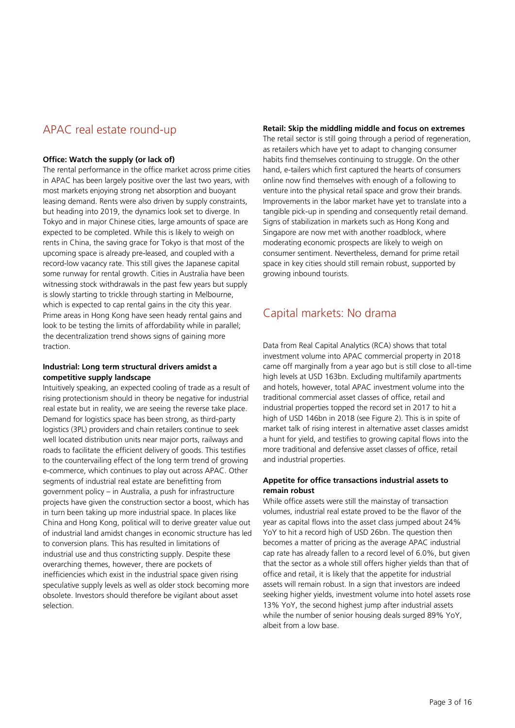# APAC real estate round-up

### **Office: Watch the supply (or lack of)**

The rental performance in the office market across prime cities in APAC has been largely positive over the last two years, with most markets enjoying strong net absorption and buoyant leasing demand. Rents were also driven by supply constraints, but heading into 2019, the dynamics look set to diverge. In Tokyo and in major Chinese cities, large amounts of space are expected to be completed. While this is likely to weigh on rents in China, the saving grace for Tokyo is that most of the upcoming space is already pre-leased, and coupled with a record-low vacancy rate. This still gives the Japanese capital some runway for rental growth. Cities in Australia have been witnessing stock withdrawals in the past few years but supply is slowly starting to trickle through starting in Melbourne, which is expected to cap rental gains in the city this year. Prime areas in Hong Kong have seen heady rental gains and look to be testing the limits of affordability while in parallel; the decentralization trend shows signs of gaining more traction.

#### **Industrial: Long term structural drivers amidst a competitive supply landscape**

Intuitively speaking, an expected cooling of trade as a result of rising protectionism should in theory be negative for industrial real estate but in reality, we are seeing the reverse take place. Demand for logistics space has been strong, as third-party logistics (3PL) providers and chain retailers continue to seek well located distribution units near major ports, railways and roads to facilitate the efficient delivery of goods. This testifies to the countervailing effect of the long term trend of growing e-commerce, which continues to play out across APAC. Other segments of industrial real estate are benefitting from government policy – in Australia, a push for infrastructure projects have given the construction sector a boost, which has in turn been taking up more industrial space. In places like China and Hong Kong, political will to derive greater value out of industrial land amidst changes in economic structure has led to conversion plans. This has resulted in limitations of industrial use and thus constricting supply. Despite these overarching themes, however, there are pockets of inefficiencies which exist in the industrial space given rising speculative supply levels as well as older stock becoming more obsolete. Investors should therefore be vigilant about asset selection.

#### **Retail: Skip the middling middle and focus on extremes**

The retail sector is still going through a period of regeneration, as retailers which have yet to adapt to changing consumer habits find themselves continuing to struggle. On the other hand, e-tailers which first captured the hearts of consumers online now find themselves with enough of a following to venture into the physical retail space and grow their brands. Improvements in the labor market have yet to translate into a tangible pick-up in spending and consequently retail demand. Signs of stabilization in markets such as Hong Kong and Singapore are now met with another roadblock, where moderating economic prospects are likely to weigh on consumer sentiment. Nevertheless, demand for prime retail space in key cities should still remain robust, supported by growing inbound tourists.

# Capital markets: No drama

Data from Real Capital Analytics (RCA) shows that total investment volume into APAC commercial property in 2018 came off marginally from a year ago but is still close to all-time high levels at USD 163bn. Excluding multifamily apartments and hotels, however, total APAC investment volume into the traditional commercial asset classes of office, retail and industrial properties topped the record set in 2017 to hit a high of USD 146bn in 2018 (see Figure 2). This is in spite of market talk of rising interest in alternative asset classes amidst a hunt for yield, and testifies to growing capital flows into the more traditional and defensive asset classes of office, retail and industrial properties.

## **Appetite for office transactions industrial assets to remain robust**

While office assets were still the mainstay of transaction volumes, industrial real estate proved to be the flavor of the year as capital flows into the asset class jumped about 24% YoY to hit a record high of USD 26bn. The question then becomes a matter of pricing as the average APAC industrial cap rate has already fallen to a record level of 6.0%, but given that the sector as a whole still offers higher yields than that of office and retail, it is likely that the appetite for industrial assets will remain robust. In a sign that investors are indeed seeking higher yields, investment volume into hotel assets rose 13% YoY, the second highest jump after industrial assets while the number of senior housing deals surged 89% YoY, albeit from a low base.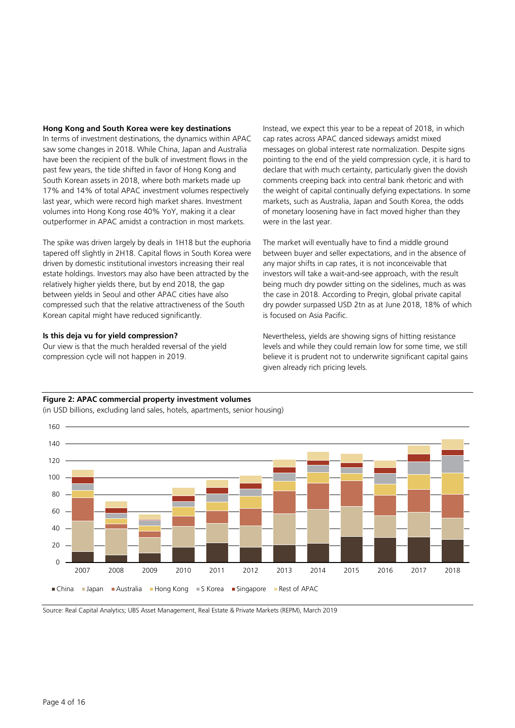#### **Hong Kong and South Korea were key destinations**

In terms of investment destinations, the dynamics within APAC saw some changes in 2018. While China, Japan and Australia have been the recipient of the bulk of investment flows in the past few years, the tide shifted in favor of Hong Kong and South Korean assets in 2018, where both markets made up 17% and 14% of total APAC investment volumes respectively last year, which were record high market shares. Investment volumes into Hong Kong rose 40% YoY, making it a clear outperformer in APAC amidst a contraction in most markets.

The spike was driven largely by deals in 1H18 but the euphoria tapered off slightly in 2H18. Capital flows in South Korea were driven by domestic institutional investors increasing their real estate holdings. Investors may also have been attracted by the relatively higher yields there, but by end 2018, the gap between yields in Seoul and other APAC cities have also compressed such that the relative attractiveness of the South Korean capital might have reduced significantly.

#### **Is this deja vu for yield compression?**

Our view is that the much heralded reversal of the yield compression cycle will not happen in 2019.

Instead, we expect this year to be a repeat of 2018, in which cap rates across APAC danced sideways amidst mixed messages on global interest rate normalization. Despite signs pointing to the end of the yield compression cycle, it is hard to declare that with much certainty, particularly given the dovish comments creeping back into central bank rhetoric and with the weight of capital continually defying expectations. In some markets, such as Australia, Japan and South Korea, the odds of monetary loosening have in fact moved higher than they were in the last year.

The market will eventually have to find a middle ground between buyer and seller expectations, and in the absence of any major shifts in cap rates, it is not inconceivable that investors will take a wait-and-see approach, with the result being much dry powder sitting on the sidelines, much as was the case in 2018. According to Preqin, global private capital dry powder surpassed USD 2tn as at June 2018, 18% of which is focused on Asia Pacific.

Nevertheless, yields are showing signs of hitting resistance levels and while they could remain low for some time, we still believe it is prudent not to underwrite significant capital gains given already rich pricing levels.

#### **Figure 2: APAC commercial property investment volumes**

(in USD billions, excluding land sales, hotels, apartments, senior housing)



Source: Real Capital Analytics; UBS Asset Management, Real Estate & Private Markets (REPM), March 2019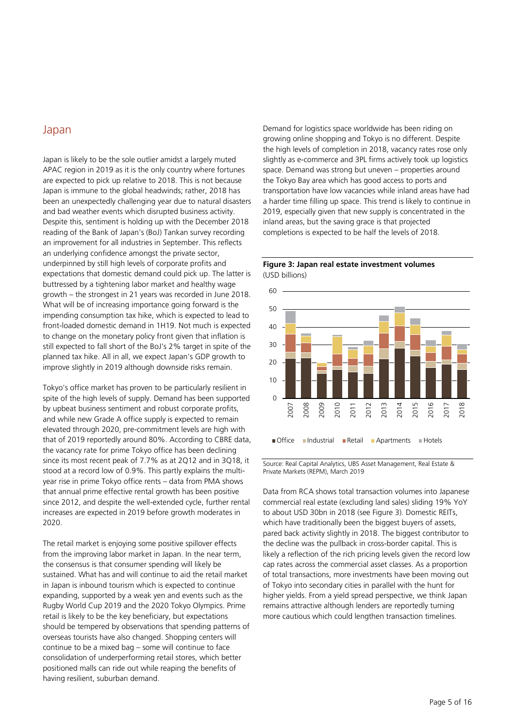# Japan

Japan is likely to be the sole outlier amidst a largely muted APAC region in 2019 as it is the only country where fortunes are expected to pick up relative to 2018. This is not because Japan is immune to the global headwinds; rather, 2018 has been an unexpectedly challenging year due to natural disasters and bad weather events which disrupted business activity. Despite this, sentiment is holding up with the December 2018 reading of the Bank of Japan's (BoJ) Tankan survey recording an improvement for all industries in September. This reflects an underlying confidence amongst the private sector, underpinned by still high levels of corporate profits and expectations that domestic demand could pick up. The latter is buttressed by a tightening labor market and healthy wage growth – the strongest in 21 years was recorded in June 2018. What will be of increasing importance going forward is the impending consumption tax hike, which is expected to lead to front-loaded domestic demand in 1H19. Not much is expected to change on the monetary policy front given that inflation is still expected to fall short of the BoJ's 2% target in spite of the planned tax hike. All in all, we expect Japan's GDP growth to improve slightly in 2019 although downside risks remain.

Tokyo's office market has proven to be particularly resilient in spite of the high levels of supply. Demand has been supported by upbeat business sentiment and robust corporate profits, and while new Grade A office supply is expected to remain elevated through 2020, pre-commitment levels are high with that of 2019 reportedly around 80%. According to CBRE data, the vacancy rate for prime Tokyo office has been declining since its most recent peak of 7.7% as at 2Q12 and in 3Q18, it stood at a record low of 0.9%. This partly explains the multiyear rise in prime Tokyo office rents – data from PMA shows that annual prime effective rental growth has been positive since 2012, and despite the well-extended cycle, further rental increases are expected in 2019 before growth moderates in 2020.

The retail market is enjoying some positive spillover effects from the improving labor market in Japan. In the near term, the consensus is that consumer spending will likely be sustained. What has and will continue to aid the retail market in Japan is inbound tourism which is expected to continue expanding, supported by a weak yen and events such as the Rugby World Cup 2019 and the 2020 Tokyo Olympics. Prime retail is likely to be the key beneficiary, but expectations should be tempered by observations that spending patterns of overseas tourists have also changed. Shopping centers will continue to be a mixed bag – some will continue to face consolidation of underperforming retail stores, which better positioned malls can ride out while reaping the benefits of having resilient, suburban demand.

Demand for logistics space worldwide has been riding on growing online shopping and Tokyo is no different. Despite the high levels of completion in 2018, vacancy rates rose only slightly as e-commerce and 3PL firms actively took up logistics space. Demand was strong but uneven – properties around the Tokyo Bay area which has good access to ports and transportation have low vacancies while inland areas have had a harder time filling up space. This trend is likely to continue in 2019, especially given that new supply is concentrated in the inland areas, but the saving grace is that projected completions is expected to be half the levels of 2018.





Source: Real Capital Analytics, UBS Asset Management, Real Estate & Private Markets (REPM), March 2019

Data from RCA shows total transaction volumes into Japanese commercial real estate (excluding land sales) sliding 19% YoY to about USD 30bn in 2018 (see Figure 3). Domestic REITs, which have traditionally been the biggest buyers of assets, pared back activity slightly in 2018. The biggest contributor to the decline was the pullback in cross-border capital. This is likely a reflection of the rich pricing levels given the record low cap rates across the commercial asset classes. As a proportion of total transactions, more investments have been moving out of Tokyo into secondary cities in parallel with the hunt for higher yields. From a yield spread perspective, we think Japan remains attractive although lenders are reportedly turning more cautious which could lengthen transaction timelines.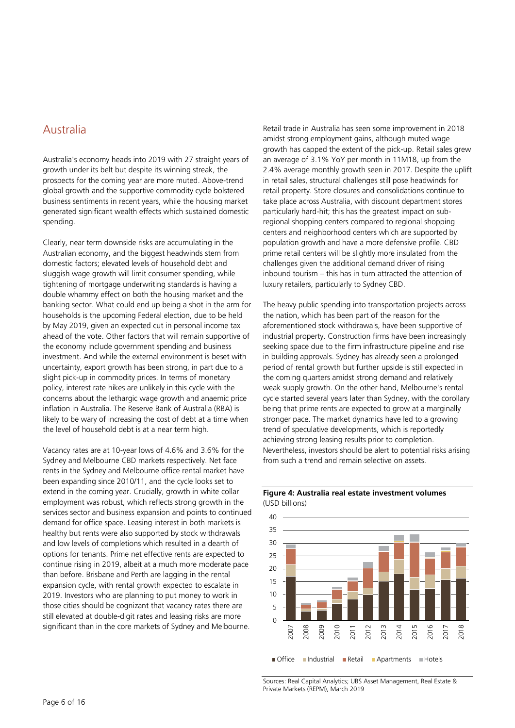# Australia

Australia's economy heads into 2019 with 27 straight years of growth under its belt but despite its winning streak, the prospects for the coming year are more muted. Above-trend global growth and the supportive commodity cycle bolstered business sentiments in recent years, while the housing market generated significant wealth effects which sustained domestic spending.

Clearly, near term downside risks are accumulating in the Australian economy, and the biggest headwinds stem from domestic factors; elevated levels of household debt and sluggish wage growth will limit consumer spending, while tightening of mortgage underwriting standards is having a double whammy effect on both the housing market and the banking sector. What could end up being a shot in the arm for households is the upcoming Federal election, due to be held by May 2019, given an expected cut in personal income tax ahead of the vote. Other factors that will remain supportive of the economy include government spending and business investment. And while the external environment is beset with uncertainty, export growth has been strong, in part due to a slight pick-up in commodity prices. In terms of monetary policy, interest rate hikes are unlikely in this cycle with the concerns about the lethargic wage growth and anaemic price inflation in Australia. The Reserve Bank of Australia (RBA) is likely to be wary of increasing the cost of debt at a time when the level of household debt is at a near term high.

Vacancy rates are at 10-year lows of 4.6% and 3.6% for the Sydney and Melbourne CBD markets respectively. Net face rents in the Sydney and Melbourne office rental market have been expanding since 2010/11, and the cycle looks set to extend in the coming year. Crucially, growth in white collar employment was robust, which reflects strong growth in the services sector and business expansion and points to continued demand for office space. Leasing interest in both markets is healthy but rents were also supported by stock withdrawals and low levels of completions which resulted in a dearth of options for tenants. Prime net effective rents are expected to continue rising in 2019, albeit at a much more moderate pace than before. Brisbane and Perth are lagging in the rental expansion cycle, with rental growth expected to escalate in 2019. Investors who are planning to put money to work in those cities should be cognizant that vacancy rates there are still elevated at double-digit rates and leasing risks are more significant than in the core markets of Sydney and Melbourne.

Retail trade in Australia has seen some improvement in 2018 amidst strong employment gains, although muted wage growth has capped the extent of the pick-up. Retail sales grew an average of 3.1% YoY per month in 11M18, up from the 2.4% average monthly growth seen in 2017. Despite the uplift in retail sales, structural challenges still pose headwinds for retail property. Store closures and consolidations continue to take place across Australia, with discount department stores particularly hard-hit; this has the greatest impact on subregional shopping centers compared to regional shopping centers and neighborhood centers which are supported by population growth and have a more defensive profile. CBD prime retail centers will be slightly more insulated from the challenges given the additional demand driver of rising inbound tourism – this has in turn attracted the attention of luxury retailers, particularly to Sydney CBD.

The heavy public spending into transportation projects across the nation, which has been part of the reason for the aforementioned stock withdrawals, have been supportive of industrial property. Construction firms have been increasingly seeking space due to the firm infrastructure pipeline and rise in building approvals. Sydney has already seen a prolonged period of rental growth but further upside is still expected in the coming quarters amidst strong demand and relatively weak supply growth. On the other hand, Melbourne's rental cycle started several years later than Sydney, with the corollary being that prime rents are expected to grow at a marginally stronger pace. The market dynamics have led to a growing trend of speculative developments, which is reportedly achieving strong leasing results prior to completion. Nevertheless, investors should be alert to potential risks arising from such a trend and remain selective on assets.





Sources: Real Capital Analytics; UBS Asset Management, Real Estate & Private Markets (REPM), March 2019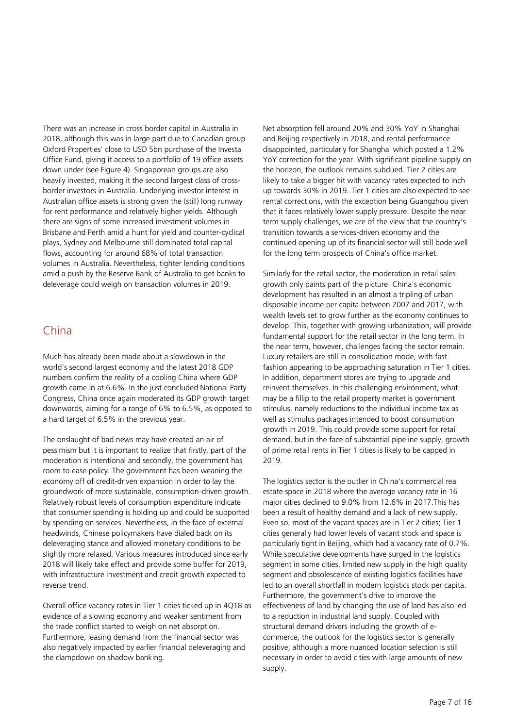There was an increase in cross border capital in Australia in 2018, although this was in large part due to Canadian group Oxford Properties' close to USD 5bn purchase of the Investa Office Fund, giving it access to a portfolio of 19 office assets down under (see Figure 4). Singaporean groups are also heavily invested, making it the second largest class of crossborder investors in Australia. Underlying investor interest in Australian office assets is strong given the (still) long runway for rent performance and relatively higher yields. Although there are signs of some increased investment volumes in Brisbane and Perth amid a hunt for yield and counter-cyclical plays, Sydney and Melbourne still dominated total capital flows, accounting for around 68% of total transaction volumes in Australia. Nevertheless, tighter lending conditions amid a push by the Reserve Bank of Australia to get banks to deleverage could weigh on transaction volumes in 2019.

# China

Much has already been made about a slowdown in the world's second largest economy and the latest 2018 GDP numbers confirm the reality of a cooling China where GDP growth came in at 6.6%. In the just concluded National Party Congress, China once again moderated its GDP growth target downwards, aiming for a range of 6% to 6.5%, as opposed to a hard target of 6.5% in the previous year.

The onslaught of bad news may have created an air of pessimism but it is important to realize that firstly, part of the moderation is intentional and secondly, the government has room to ease policy. The government has been weaning the economy off of credit-driven expansion in order to lay the groundwork of more sustainable, consumption-driven growth. Relatively robust levels of consumption expenditure indicate that consumer spending is holding up and could be supported by spending on services. Nevertheless, in the face of external headwinds, Chinese policymakers have dialed back on its deleveraging stance and allowed monetary conditions to be slightly more relaxed. Various measures introduced since early 2018 will likely take effect and provide some buffer for 2019, with infrastructure investment and credit growth expected to reverse trend.

Overall office vacancy rates in Tier 1 cities ticked up in 4Q18 as evidence of a slowing economy and weaker sentiment from the trade conflict started to weigh on net absorption. Furthermore, leasing demand from the financial sector was also negatively impacted by earlier financial deleveraging and the clampdown on shadow banking.

Net absorption fell around 20% and 30% YoY in Shanghai and Beijing respectively in 2018, and rental performance disappointed, particularly for Shanghai which posted a 1.2% YoY correction for the year. With significant pipeline supply on the horizon, the outlook remains subdued. Tier 2 cities are likely to take a bigger hit with vacancy rates expected to inch up towards 30% in 2019. Tier 1 cities are also expected to see rental corrections, with the exception being Guangzhou given that it faces relatively lower supply pressure. Despite the near term supply challenges, we are of the view that the country's transition towards a services-driven economy and the continued opening up of its financial sector will still bode well for the long term prospects of China's office market.

Similarly for the retail sector, the moderation in retail sales growth only paints part of the picture. China's economic development has resulted in an almost a tripling of urban disposable income per capita between 2007 and 2017, with wealth levels set to grow further as the economy continues to develop. This, together with growing urbanization, will provide fundamental support for the retail sector in the long term. In the near term, however, challenges facing the sector remain. Luxury retailers are still in consolidation mode, with fast fashion appearing to be approaching saturation in Tier 1 cities. In addition, department stores are trying to upgrade and reinvent themselves. In this challenging environment, what may be a fillip to the retail property market is government stimulus, namely reductions to the individual income tax as well as stimulus packages intended to boost consumption growth in 2019. This could provide some support for retail demand, but in the face of substantial pipeline supply, growth of prime retail rents in Tier 1 cities is likely to be capped in 2019.

The logistics sector is the outlier in China's commercial real estate space in 2018 where the average vacancy rate in 16 major cities declined to 9.0% from 12.6% in 2017.This has been a result of healthy demand and a lack of new supply. Even so, most of the vacant spaces are in Tier 2 cities; Tier 1 cities generally had lower levels of vacant stock and space is particularly tight in Beijing, which had a vacancy rate of 0.7%. While speculative developments have surged in the logistics segment in some cities, limited new supply in the high quality segment and obsolescence of existing logistics facilities have led to an overall shortfall in modern logistics stock per capita. Furthermore, the government's drive to improve the effectiveness of land by changing the use of land has also led to a reduction in industrial land supply. Coupled with structural demand drivers including the growth of ecommerce, the outlook for the logistics sector is generally positive, although a more nuanced location selection is still necessary in order to avoid cities with large amounts of new supply.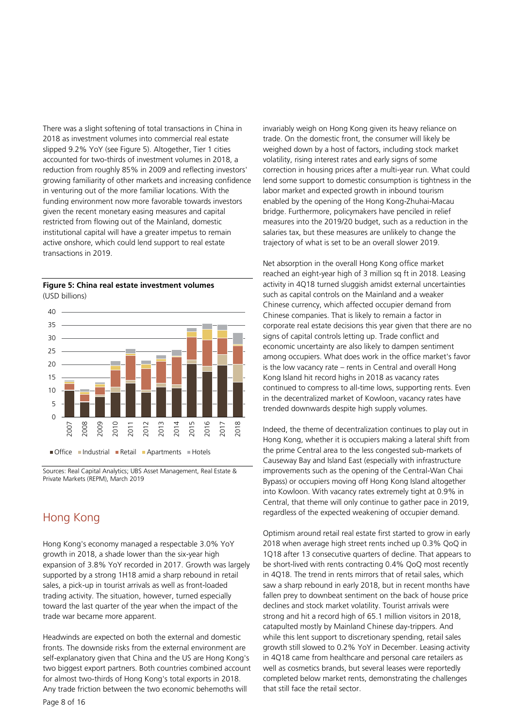There was a slight softening of total transactions in China in 2018 as investment volumes into commercial real estate slipped 9.2% YoY (see Figure 5). Altogether, Tier 1 cities accounted for two-thirds of investment volumes in 2018, a reduction from roughly 85% in 2009 and reflecting investors' growing familiarity of other markets and increasing confidence in venturing out of the more familiar locations. With the funding environment now more favorable towards investors given the recent monetary easing measures and capital restricted from flowing out of the Mainland, domestic institutional capital will have a greater impetus to remain active onshore, which could lend support to real estate transactions in 2019.





Sources: Real Capital Analytics; UBS Asset Management, Real Estate & Private Markets (REPM), March 2019

# Hong Kong

Hong Kong's economy managed a respectable 3.0% YoY growth in 2018, a shade lower than the six-year high expansion of 3.8% YoY recorded in 2017. Growth was largely supported by a strong 1H18 amid a sharp rebound in retail sales, a pick-up in tourist arrivals as well as front-loaded trading activity. The situation, however, turned especially toward the last quarter of the year when the impact of the trade war became more apparent.

Headwinds are expected on both the external and domestic fronts. The downside risks from the external environment are self-explanatory given that China and the US are Hong Kong's two biggest export partners. Both countries combined account for almost two-thirds of Hong Kong's total exports in 2018. Any trade friction between the two economic behemoths will

invariably weigh on Hong Kong given its heavy reliance on trade. On the domestic front, the consumer will likely be weighed down by a host of factors, including stock market volatility, rising interest rates and early signs of some correction in housing prices after a multi-year run. What could lend some support to domestic consumption is tightness in the labor market and expected growth in inbound tourism enabled by the opening of the Hong Kong-Zhuhai-Macau bridge. Furthermore, policymakers have penciled in relief measures into the 2019/20 budget, such as a reduction in the salaries tax, but these measures are unlikely to change the trajectory of what is set to be an overall slower 2019.

Net absorption in the overall Hong Kong office market reached an eight-year high of 3 million sq ft in 2018. Leasing activity in 4Q18 turned sluggish amidst external uncertainties such as capital controls on the Mainland and a weaker Chinese currency, which affected occupier demand from Chinese companies. That is likely to remain a factor in corporate real estate decisions this year given that there are no signs of capital controls letting up. Trade conflict and economic uncertainty are also likely to dampen sentiment among occupiers. What does work in the office market's favor is the low vacancy rate – rents in Central and overall Hong Kong Island hit record highs in 2018 as vacancy rates continued to compress to all-time lows, supporting rents. Even in the decentralized market of Kowloon, vacancy rates have trended downwards despite high supply volumes.

Indeed, the theme of decentralization continues to play out in Hong Kong, whether it is occupiers making a lateral shift from the prime Central area to the less congested sub-markets of Causeway Bay and Island East (especially with infrastructure improvements such as the opening of the Central-Wan Chai Bypass) or occupiers moving off Hong Kong Island altogether into Kowloon. With vacancy rates extremely tight at 0.9% in Central, that theme will only continue to gather pace in 2019, regardless of the expected weakening of occupier demand.

Optimism around retail real estate first started to grow in early 2018 when average high street rents inched up 0.3% QoQ in 1Q18 after 13 consecutive quarters of decline. That appears to be short-lived with rents contracting 0.4% QoQ most recently in 4Q18. The trend in rents mirrors that of retail sales, which saw a sharp rebound in early 2018, but in recent months have fallen prey to downbeat sentiment on the back of house price declines and stock market volatility. Tourist arrivals were strong and hit a record high of 65.1 million visitors in 2018, catapulted mostly by Mainland Chinese day-trippers. And while this lent support to discretionary spending, retail sales growth still slowed to 0.2% YoY in December. Leasing activity in 4Q18 came from healthcare and personal care retailers as well as cosmetics brands, but several leases were reportedly completed below market rents, demonstrating the challenges that still face the retail sector.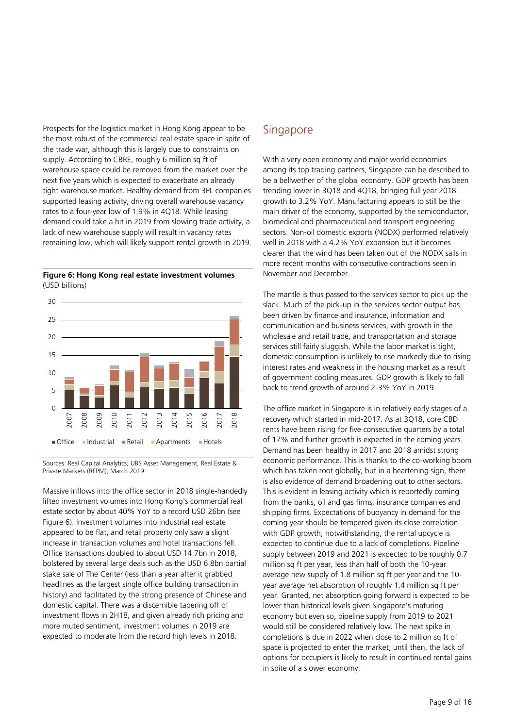Prospects for the logistics market in Hong Kong appear to be the most robust of the commercial real estate space in spite of the trade war, although this is largely due to constraints on supply. According to CBRE, roughly 6 million sq ft of warehouse space could be removed from the market over the next five years which is expected to exacerbate an already tight warehouse market. Healthy demand from 3PL companies supported leasing activity, driving overall warehouse vacancy rates to a four-year low of 1.9% in 4Q18. While leasing demand could take a hit in 2019 from slowing trade activity, a lack of new warehouse supply will result in vacancy rates remaining low, which will likely support rental growth in 2019.

**Figure 6: Hong Kong real estate investment volumes** (USD billions)



Sources: Real Capital Analytics; UBS Asset Management, Real Estate & Private Markets (REPM), March 2019

Massive inflows into the office sector in 2018 single-handedly lifted investment volumes into Hong Kong's commercial real estate sector by about 40% YoY to a record USD 26bn (see Figure 6). Investment volumes into industrial real estate appeared to be flat, and retail property only saw a slight increase in transaction volumes and hotel transactions fell. Office transactions doubled to about USD 14.7bn in 2018, bolstered by several large deals such as the USD 6.8bn partial stake sale of The Center (less than a year after it grabbed headlines as the largest single office building transaction in history) and facilitated by the strong presence of Chinese and domestic capital. There was a discernible tapering off of investment flows in 2H18, and given already rich pricing and more muted sentiment, investment volumes in 2019 are expected to moderate from the record high levels in 2018.

# **Singapore**

With a very open economy and major world economies among its top trading partners, Singapore can be described to be a bellwether of the global economy. GDP growth has been trending lower in 3Q18 and 4Q18, bringing full year 2018 growth to 3.2% YoY. Manufacturing appears to still be the main driver of the economy, supported by the semiconductor, biomedical and pharmaceutical and transport engineering sectors. Non-oil domestic exports (NODX) performed relatively well in 2018 with a 4.2% YoY expansion but it becomes clearer that the wind has been taken out of the NODX sails in more recent months with consecutive contractions seen in November and December.

The mantle is thus passed to the services sector to pick up the slack. Much of the pick-up in the services sector output has been driven by finance and insurance, information and communication and business services, with growth in the wholesale and retail trade, and transportation and storage services still fairly sluggish. While the labor market is tight, domestic consumption is unlikely to rise markedly due to rising interest rates and weakness in the housing market as a result of government cooling measures. GDP growth is likely to fall back to trend growth of around 2-3% YoY in 2019.

The office market in Singapore is in relatively early stages of a recovery which started in mid-2017. As at 3Q18, core CBD rents have been rising for five consecutive quarters by a total of 17% and further growth is expected in the coming years. Demand has been healthy in 2017 and 2018 amidst strong economic performance. This is thanks to the co-working boom which has taken root globally, but in a heartening sign, there is also evidence of demand broadening out to other sectors. This is evident in leasing activity which is reportedly coming from the banks, oil and gas firms, insurance companies and shipping firms. Expectations of buoyancy in demand for the coming year should be tempered given its close correlation with GDP growth; notwithstanding, the rental upcycle is expected to continue due to a lack of completions. Pipeline supply between 2019 and 2021 is expected to be roughly 0.7 million sq ft per year, less than half of both the 10-year average new supply of 1.8 million sq ft per year and the 10 year average net absorption of roughly 1.4 million sq ft per year. Granted, net absorption going forward is expected to be lower than historical levels given Singapore's maturing economy but even so, pipeline supply from 2019 to 2021 would still be considered relatively low. The next spike in completions is due in 2022 when close to 2 million sq ft of space is projected to enter the market; until then, the lack of options for occupiers is likely to result in continued rental gains in spite of a slower economy.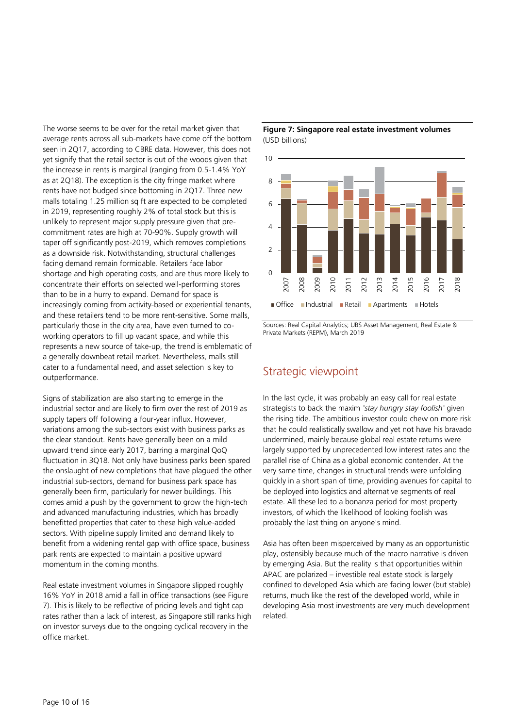The worse seems to be over for the retail market given that average rents across all sub-markets have come off the bottom seen in 2Q17, according to CBRE data. However, this does not yet signify that the retail sector is out of the woods given that the increase in rents is marginal (ranging from 0.5-1.4% YoY as at 2Q18). The exception is the city fringe market where rents have not budged since bottoming in 2Q17. Three new malls totaling 1.25 million sq ft are expected to be completed in 2019, representing roughly 2% of total stock but this is unlikely to represent major supply pressure given that precommitment rates are high at 70-90%. Supply growth will taper off significantly post-2019, which removes completions as a downside risk. Notwithstanding, structural challenges facing demand remain formidable. Retailers face labor shortage and high operating costs, and are thus more likely to concentrate their efforts on selected well-performing stores than to be in a hurry to expand. Demand for space is increasingly coming from activity-based or experiential tenants, and these retailers tend to be more rent-sensitive. Some malls, particularly those in the city area, have even turned to coworking operators to fill up vacant space, and while this represents a new source of take-up, the trend is emblematic of a generally downbeat retail market. Nevertheless, malls still cater to a fundamental need, and asset selection is key to outperformance.

Signs of stabilization are also starting to emerge in the industrial sector and are likely to firm over the rest of 2019 as supply tapers off following a four-year influx. However, variations among the sub-sectors exist with business parks as the clear standout. Rents have generally been on a mild upward trend since early 2017, barring a marginal QoQ fluctuation in 3Q18. Not only have business parks been spared the onslaught of new completions that have plagued the other industrial sub-sectors, demand for business park space has generally been firm, particularly for newer buildings. This comes amid a push by the government to grow the high-tech and advanced manufacturing industries, which has broadly benefitted properties that cater to these high value-added sectors. With pipeline supply limited and demand likely to benefit from a widening rental gap with office space, business park rents are expected to maintain a positive upward momentum in the coming months.

Real estate investment volumes in Singapore slipped roughly 16% YoY in 2018 amid a fall in office transactions (see Figure 7). This is likely to be reflective of pricing levels and tight cap rates rather than a lack of interest, as Singapore still ranks high on investor surveys due to the ongoing cyclical recovery in the office market.

**Figure 7: Singapore real estate investment volumes** (USD billions)



Sources: Real Capital Analytics; UBS Asset Management, Real Estate & Private Markets (REPM), March 2019

# Strategic viewpoint

In the last cycle, it was probably an easy call for real estate strategists to back the maxim *'stay hungry stay foolish'* given the rising tide. The ambitious investor could chew on more risk that he could realistically swallow and yet not have his bravado undermined, mainly because global real estate returns were largely supported by unprecedented low interest rates and the parallel rise of China as a global economic contender. At the very same time, changes in structural trends were unfolding quickly in a short span of time, providing avenues for capital to be deployed into logistics and alternative segments of real estate. All these led to a bonanza period for most property investors, of which the likelihood of looking foolish was probably the last thing on anyone's mind.

Asia has often been misperceived by many as an opportunistic play, ostensibly because much of the macro narrative is driven by emerging Asia. But the reality is that opportunities within APAC are polarized – investible real estate stock is largely confined to developed Asia which are facing lower (but stable) returns, much like the rest of the developed world, while in developing Asia most investments are very much development related.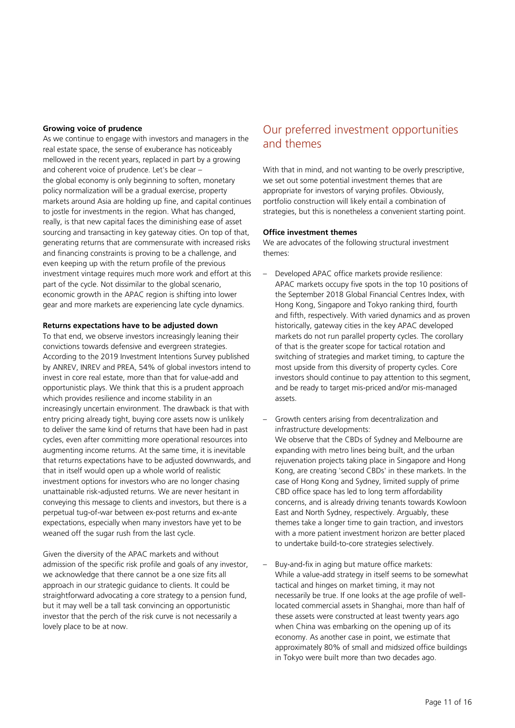#### **Growing voice of prudence**

As we continue to engage with investors and managers in the real estate space, the sense of exuberance has noticeably mellowed in the recent years, replaced in part by a growing and coherent voice of prudence. Let's be clear – the global economy is only beginning to soften, monetary policy normalization will be a gradual exercise, property markets around Asia are holding up fine, and capital continues to jostle for investments in the region. What has changed, really, is that new capital faces the diminishing ease of asset sourcing and transacting in key gateway cities. On top of that, generating returns that are commensurate with increased risks and financing constraints is proving to be a challenge, and even keeping up with the return profile of the previous investment vintage requires much more work and effort at this part of the cycle. Not dissimilar to the global scenario, economic growth in the APAC region is shifting into lower gear and more markets are experiencing late cycle dynamics.

#### **Returns expectations have to be adjusted down**

To that end, we observe investors increasingly leaning their convictions towards defensive and evergreen strategies. According to the 2019 Investment Intentions Survey published by ANREV, INREV and PREA, 54% of global investors intend to invest in core real estate, more than that for value-add and opportunistic plays. We think that this is a prudent approach which provides resilience and income stability in an increasingly uncertain environment. The drawback is that with entry pricing already tight, buying core assets now is unlikely to deliver the same kind of returns that have been had in past cycles, even after committing more operational resources into augmenting income returns. At the same time, it is inevitable that returns expectations have to be adjusted downwards, and that in itself would open up a whole world of realistic investment options for investors who are no longer chasing unattainable risk-adjusted returns. We are never hesitant in conveying this message to clients and investors, but there is a perpetual tug-of-war between ex-post returns and ex-ante expectations, especially when many investors have yet to be weaned off the sugar rush from the last cycle.

Given the diversity of the APAC markets and without admission of the specific risk profile and goals of any investor, we acknowledge that there cannot be a one size fits all approach in our strategic guidance to clients. It could be straightforward advocating a core strategy to a pension fund, but it may well be a tall task convincing an opportunistic investor that the perch of the risk curve is not necessarily a lovely place to be at now.

# Our preferred investment opportunities and themes

With that in mind, and not wanting to be overly prescriptive, we set out some potential investment themes that are appropriate for investors of varying profiles. Obviously, portfolio construction will likely entail a combination of strategies, but this is nonetheless a convenient starting point.

#### **Office investment themes**

We are advocates of the following structural investment themes:

- Developed APAC office markets provide resilience: APAC markets occupy five spots in the top 10 positions of the September 2018 Global Financial Centres Index, with Hong Kong, Singapore and Tokyo ranking third, fourth and fifth, respectively. With varied dynamics and as proven historically, gateway cities in the key APAC developed markets do not run parallel property cycles. The corollary of that is the greater scope for tactical rotation and switching of strategies and market timing, to capture the most upside from this diversity of property cycles. Core investors should continue to pay attention to this segment, and be ready to target mis-priced and/or mis-managed assets.
- Growth centers arising from decentralization and infrastructure developments: We observe that the CBDs of Sydney and Melbourne are expanding with metro lines being built, and the urban rejuvenation projects taking place in Singapore and Hong Kong, are creating 'second CBDs' in these markets. In the case of Hong Kong and Sydney, limited supply of prime CBD office space has led to long term affordability concerns, and is already driving tenants towards Kowloon East and North Sydney, respectively. Arguably, these themes take a longer time to gain traction, and investors with a more patient investment horizon are better placed to undertake build-to-core strategies selectively.
- Buy-and-fix in aging but mature office markets: While a value-add strategy in itself seems to be somewhat tactical and hinges on market timing, it may not necessarily be true. If one looks at the age profile of welllocated commercial assets in Shanghai, more than half of these assets were constructed at least twenty years ago when China was embarking on the opening up of its economy. As another case in point, we estimate that approximately 80% of small and midsized office buildings in Tokyo were built more than two decades ago.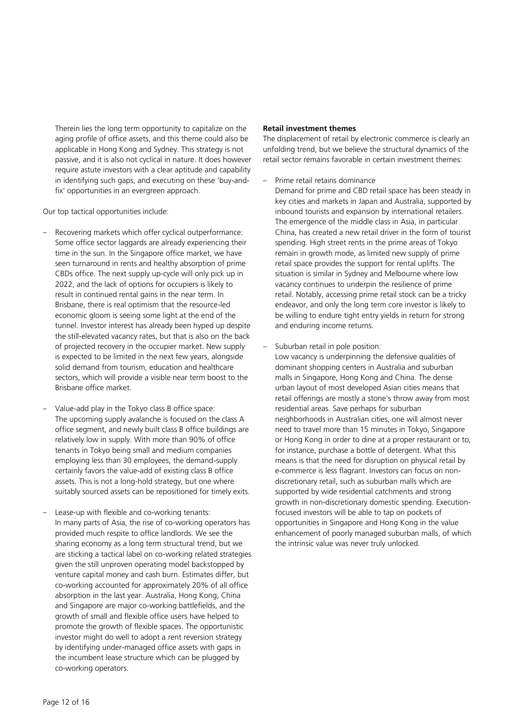Therein lies the long term opportunity to capitalize on the aging profile of office assets, and this theme could also be applicable in Hong Kong and Sydney. This strategy is not passive, and it is also not cyclical in nature. It does however require astute investors with a clear aptitude and capability in identifying such gaps, and executing on these 'buy-andfix' opportunities in an evergreen approach.

Our top tactical opportunities include:

- Recovering markets which offer cyclical outperformance: Some office sector laggards are already experiencing their time in the sun. In the Singapore office market, we have seen turnaround in rents and healthy absorption of prime CBDs office. The next supply up-cycle will only pick up in 2022, and the lack of options for occupiers is likely to result in continued rental gains in the near term. In Brisbane, there is real optimism that the resource-led economic gloom is seeing some light at the end of the tunnel. Investor interest has already been hyped up despite the still-elevated vacancy rates, but that is also on the back of projected recovery in the occupier market. New supply is expected to be limited in the next few years, alongside solid demand from tourism, education and healthcare sectors, which will provide a visible near term boost to the Brisbane office market.
- Value-add play in the Tokyo class B office space: The upcoming supply avalanche is focused on the class A office segment, and newly built class B office buildings are relatively low in supply. With more than 90% of office tenants in Tokyo being small and medium companies employing less than 30 employees, the demand-supply certainly favors the value-add of existing class B office assets. This is not a long-hold strategy, but one where suitably sourced assets can be repositioned for timely exits.
- Lease-up with flexible and co-working tenants: In many parts of Asia, the rise of co-working operators has provided much respite to office landlords. We see the sharing economy as a long term structural trend, but we are sticking a tactical label on co-working related strategies given the still unproven operating model backstopped by venture capital money and cash burn. Estimates differ, but co-working accounted for approximately 20% of all office absorption in the last year. Australia, Hong Kong, China and Singapore are major co-working battlefields, and the growth of small and flexible office users have helped to promote the growth of flexible spaces. The opportunistic investor might do well to adopt a rent reversion strategy by identifying under-managed office assets with gaps in the incumbent lease structure which can be plugged by co-working operators.

#### **Retail investment themes**

The displacement of retail by electronic commerce is clearly an unfolding trend, but we believe the structural dynamics of the retail sector remains favorable in certain investment themes:

– Prime retail retains dominance

Demand for prime and CBD retail space has been steady in key cities and markets in Japan and Australia, supported by inbound tourists and expansion by international retailers. The emergence of the middle class in Asia, in particular China, has created a new retail driver in the form of tourist spending. High street rents in the prime areas of Tokyo remain in growth mode, as limited new supply of prime retail space provides the support for rental uplifts. The situation is similar in Sydney and Melbourne where low vacancy continues to underpin the resilience of prime retail. Notably, accessing prime retail stock can be a tricky endeavor, and only the long term core investor is likely to be willing to endure tight entry yields in return for strong and enduring income returns.

– Suburban retail in pole position:

Low vacancy is underpinning the defensive qualities of dominant shopping centers in Australia and suburban malls in Singapore, Hong Kong and China. The dense urban layout of most developed Asian cities means that retail offerings are mostly a stone's throw away from most residential areas. Save perhaps for suburban neighborhoods in Australian cities, one will almost never need to travel more than 15 minutes in Tokyo, Singapore or Hong Kong in order to dine at a proper restaurant or to, for instance, purchase a bottle of detergent. What this means is that the need for disruption on physical retail by e-commerce is less flagrant. Investors can focus on nondiscretionary retail, such as suburban malls which are supported by wide residential catchments and strong growth in non-discretionary domestic spending. Executionfocused investors will be able to tap on pockets of opportunities in Singapore and Hong Kong in the value enhancement of poorly managed suburban malls, of which the intrinsic value was never truly unlocked.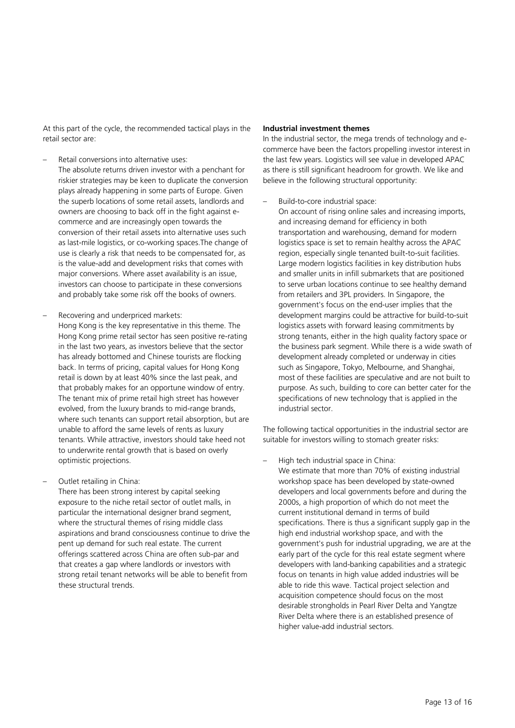At this part of the cycle, the recommended tactical plays in the retail sector are:

- Retail conversions into alternative uses:
- The absolute returns driven investor with a penchant for riskier strategies may be keen to duplicate the conversion plays already happening in some parts of Europe. Given the superb locations of some retail assets, landlords and owners are choosing to back off in the fight against ecommerce and are increasingly open towards the conversion of their retail assets into alternative uses such as last-mile logistics, or co-working spaces.The change of use is clearly a risk that needs to be compensated for, as is the value-add and development risks that comes with major conversions. Where asset availability is an issue, investors can choose to participate in these conversions and probably take some risk off the books of owners.
- Recovering and underpriced markets: Hong Kong is the key representative in this theme. The Hong Kong prime retail sector has seen positive re-rating in the last two years, as investors believe that the sector has already bottomed and Chinese tourists are flocking back. In terms of pricing, capital values for Hong Kong retail is down by at least 40% since the last peak, and that probably makes for an opportune window of entry. The tenant mix of prime retail high street has however evolved, from the luxury brands to mid-range brands, where such tenants can support retail absorption, but are unable to afford the same levels of rents as luxury tenants. While attractive, investors should take heed not to underwrite rental growth that is based on overly optimistic projections.
- Outlet retailing in China:

There has been strong interest by capital seeking exposure to the niche retail sector of outlet malls, in particular the international designer brand segment, where the structural themes of rising middle class aspirations and brand consciousness continue to drive the pent up demand for such real estate. The current offerings scattered across China are often sub-par and that creates a gap where landlords or investors with strong retail tenant networks will be able to benefit from these structural trends.

#### **Industrial investment themes**

In the industrial sector, the mega trends of technology and ecommerce have been the factors propelling investor interest in the last few years. Logistics will see value in developed APAC as there is still significant headroom for growth. We like and believe in the following structural opportunity:

– Build-to-core industrial space:

On account of rising online sales and increasing imports, and increasing demand for efficiency in both transportation and warehousing, demand for modern logistics space is set to remain healthy across the APAC region, especially single tenanted built-to-suit facilities. Large modern logistics facilities in key distribution hubs and smaller units in infill submarkets that are positioned to serve urban locations continue to see healthy demand from retailers and 3PL providers. In Singapore, the government's focus on the end-user implies that the development margins could be attractive for build-to-suit logistics assets with forward leasing commitments by strong tenants, either in the high quality factory space or the business park segment. While there is a wide swath of development already completed or underway in cities such as Singapore, Tokyo, Melbourne, and Shanghai, most of these facilities are speculative and are not built to purpose. As such, building to core can better cater for the specifications of new technology that is applied in the industrial sector.

The following tactical opportunities in the industrial sector are suitable for investors willing to stomach greater risks:

– High tech industrial space in China:

We estimate that more than 70% of existing industrial workshop space has been developed by state-owned developers and local governments before and during the 2000s, a high proportion of which do not meet the current institutional demand in terms of build specifications. There is thus a significant supply gap in the high end industrial workshop space, and with the government's push for industrial upgrading, we are at the early part of the cycle for this real estate segment where developers with land-banking capabilities and a strategic focus on tenants in high value added industries will be able to ride this wave. Tactical project selection and acquisition competence should focus on the most desirable strongholds in Pearl River Delta and Yangtze River Delta where there is an established presence of higher value-add industrial sectors.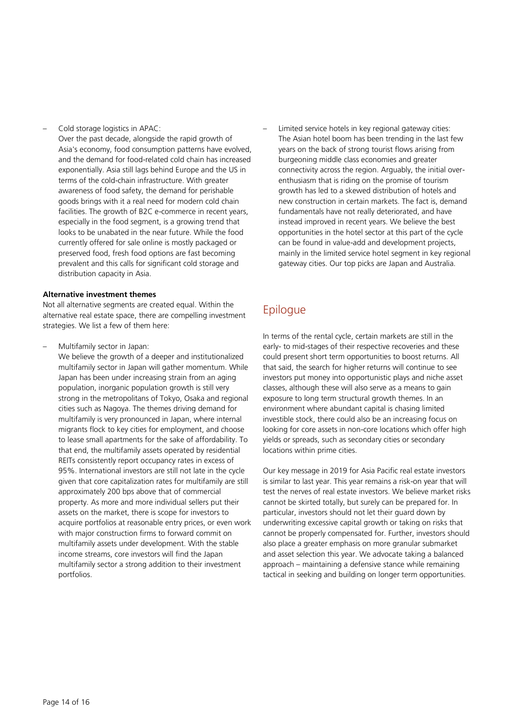– Cold storage logistics in APAC:

Over the past decade, alongside the rapid growth of Asia's economy, food consumption patterns have evolved, and the demand for food-related cold chain has increased exponentially. Asia still lags behind Europe and the US in terms of the cold-chain infrastructure. With greater awareness of food safety, the demand for perishable goods brings with it a real need for modern cold chain facilities. The growth of B2C e-commerce in recent years, especially in the food segment, is a growing trend that looks to be unabated in the near future. While the food currently offered for sale online is mostly packaged or preserved food, fresh food options are fast becoming prevalent and this calls for significant cold storage and distribution capacity in Asia.

#### **Alternative investment themes**

Not all alternative segments are created equal. Within the alternative real estate space, there are compelling investment strategies. We list a few of them here:

– Multifamily sector in Japan:

We believe the growth of a deeper and institutionalized multifamily sector in Japan will gather momentum. While Japan has been under increasing strain from an aging population, inorganic population growth is still very strong in the metropolitans of Tokyo, Osaka and regional cities such as Nagoya. The themes driving demand for multifamily is very pronounced in Japan, where internal migrants flock to key cities for employment, and choose to lease small apartments for the sake of affordability. To that end, the multifamily assets operated by residential REITs consistently report occupancy rates in excess of 95%. International investors are still not late in the cycle given that core capitalization rates for multifamily are still approximately 200 bps above that of commercial property. As more and more individual sellers put their assets on the market, there is scope for investors to acquire portfolios at reasonable entry prices, or even work with major construction firms to forward commit on multifamily assets under development. With the stable income streams, core investors will find the Japan multifamily sector a strong addition to their investment portfolios.

Limited service hotels in key regional gateway cities: The Asian hotel boom has been trending in the last few years on the back of strong tourist flows arising from burgeoning middle class economies and greater connectivity across the region. Arguably, the initial overenthusiasm that is riding on the promise of tourism growth has led to a skewed distribution of hotels and new construction in certain markets. The fact is, demand fundamentals have not really deteriorated, and have instead improved in recent years. We believe the best opportunities in the hotel sector at this part of the cycle can be found in value-add and development projects, mainly in the limited service hotel segment in key regional gateway cities. Our top picks are Japan and Australia.

# Epilogue

In terms of the rental cycle, certain markets are still in the early- to mid-stages of their respective recoveries and these could present short term opportunities to boost returns. All that said, the search for higher returns will continue to see investors put money into opportunistic plays and niche asset classes, although these will also serve as a means to gain exposure to long term structural growth themes. In an environment where abundant capital is chasing limited investible stock, there could also be an increasing focus on looking for core assets in non-core locations which offer high yields or spreads, such as secondary cities or secondary locations within prime cities.

Our key message in 2019 for Asia Pacific real estate investors is similar to last year. This year remains a risk-on year that will test the nerves of real estate investors. We believe market risks cannot be skirted totally, but surely can be prepared for. In particular, investors should not let their guard down by underwriting excessive capital growth or taking on risks that cannot be properly compensated for. Further, investors should also place a greater emphasis on more granular submarket and asset selection this year. We advocate taking a balanced approach – maintaining a defensive stance while remaining tactical in seeking and building on longer term opportunities.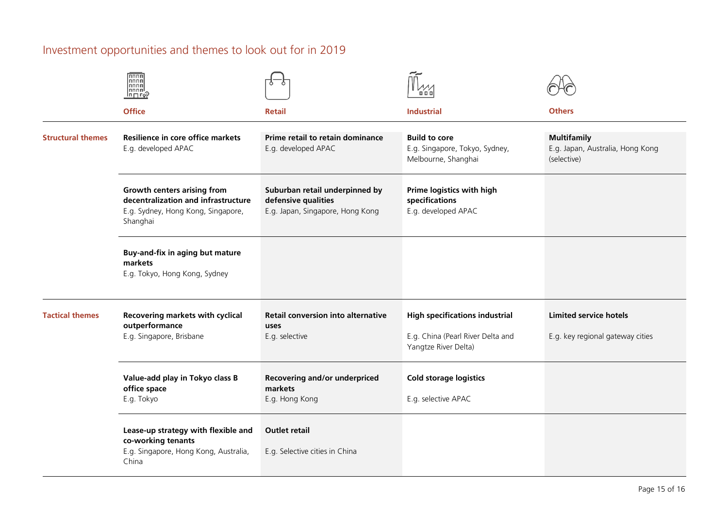# Investment opportunities and themes to look out for in 2019

|                          | <b>FRANCE</b><br>nnnn<br>nnnn<br>∣⊓ ⊓ го̂?                                                                                  |                                                                                           | 0 O C                                                                                              |                                                                       |
|--------------------------|-----------------------------------------------------------------------------------------------------------------------------|-------------------------------------------------------------------------------------------|----------------------------------------------------------------------------------------------------|-----------------------------------------------------------------------|
|                          | <b>Office</b>                                                                                                               | <b>Retail</b>                                                                             | <b>Industrial</b>                                                                                  | <b>Others</b>                                                         |
| <b>Structural themes</b> | Resilience in core office markets<br>E.g. developed APAC                                                                    | Prime retail to retain dominance<br>E.g. developed APAC                                   | <b>Build to core</b><br>E.g. Singapore, Tokyo, Sydney,<br>Melbourne, Shanghai                      | <b>Multifamily</b><br>E.g. Japan, Australia, Hong Kong<br>(selective) |
|                          | <b>Growth centers arising from</b><br>decentralization and infrastructure<br>E.g. Sydney, Hong Kong, Singapore,<br>Shanghai | Suburban retail underpinned by<br>defensive qualities<br>E.g. Japan, Singapore, Hong Kong | Prime logistics with high<br>specifications<br>E.g. developed APAC                                 |                                                                       |
|                          | Buy-and-fix in aging but mature<br>markets<br>E.g. Tokyo, Hong Kong, Sydney                                                 |                                                                                           |                                                                                                    |                                                                       |
| <b>Tactical themes</b>   | <b>Recovering markets with cyclical</b><br>outperformance<br>E.g. Singapore, Brisbane                                       | <b>Retail conversion into alternative</b><br>uses<br>E.g. selective                       | <b>High specifications industrial</b><br>E.g. China (Pearl River Delta and<br>Yangtze River Delta) | <b>Limited service hotels</b><br>E.g. key regional gateway cities     |
|                          | Value-add play in Tokyo class B<br>office space<br>E.g. Tokyo                                                               | Recovering and/or underpriced<br>markets<br>E.g. Hong Kong                                | <b>Cold storage logistics</b><br>E.g. selective APAC                                               |                                                                       |
|                          | Lease-up strategy with flexible and<br>co-working tenants<br>E.g. Singapore, Hong Kong, Australia,<br>China                 | <b>Outlet retail</b><br>E.g. Selective cities in China                                    |                                                                                                    |                                                                       |